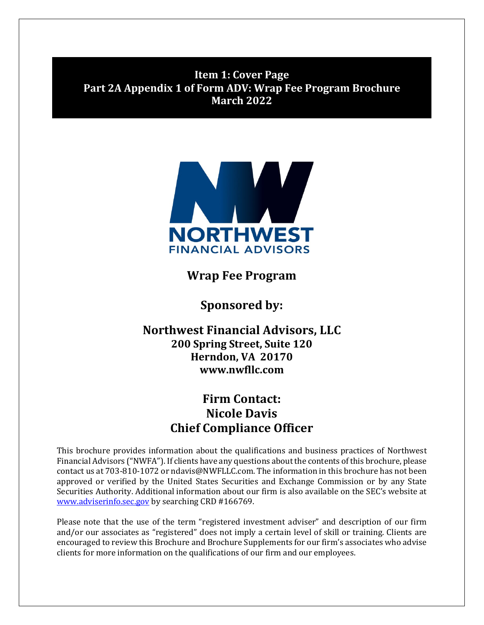<span id="page-0-0"></span>**Item 1: Cover Page Part 2A Appendix 1 of Form ADV: Wrap Fee Program Brochure March 2022**



**Wrap Fee Program**

**Sponsored by:**

**Northwest Financial Advisors, LLC 200 Spring Street, Suite 120 Herndon, VA 20170 www.nwfllc.com**

# **Firm Contact: Nicole Davis Chief Compliance Officer**

This brochure provides information about the qualifications and business practices of Northwest Financial Advisors ("NWFA"). If clients have any questions about the contents of this brochure, please contact us at 703-810-1072 or ndavis@NWFLLC.com. The information in this brochure has not been approved or verified by the United States Securities and Exchange Commission or by any State Securities Authority. Additional information about our firm is also available on the SEC's website at [www.adviserinfo.sec.gov](http://www.adviserinfo.sec.gov/) by searching CRD #166769.

Please note that the use of the term "registered investment adviser" and description of our firm and/or our associates as "registered" does not imply a certain level of skill or training. Clients are encouraged to review this Brochure and Brochure Supplements for our firm's associates who advise clients for more information on the qualifications of our firm and our employees.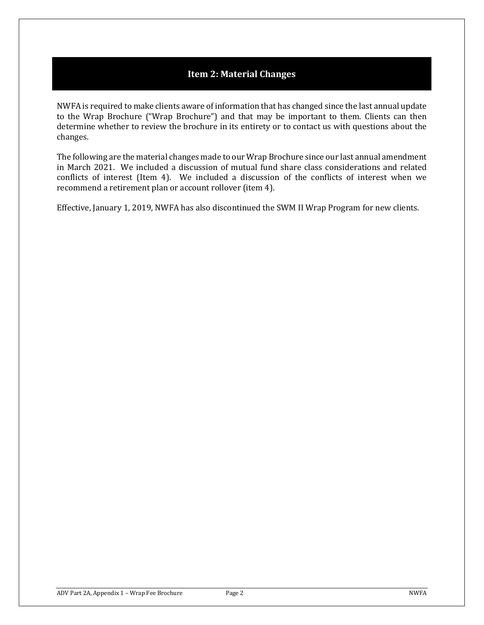# **Item 2: Material Changes**

<span id="page-1-0"></span>NWFA is required to make clients aware of information that has changed since the last annual update to the Wrap Brochure ("Wrap Brochure") and that may be important to them. Clients can then determine whether to review the brochure in its entirety or to contact us with questions about the changes.

The following are the material changes made to our Wrap Brochure since our last annual amendment in March 2021. We included a discussion of mutual fund share class considerations and related conflicts of interest (Item 4). We included a discussion of the conflicts of interest when we recommend a retirement plan or account rollover (item 4).

Effective, January 1, 2019, NWFA has also discontinued the SWM II Wrap Program for new clients.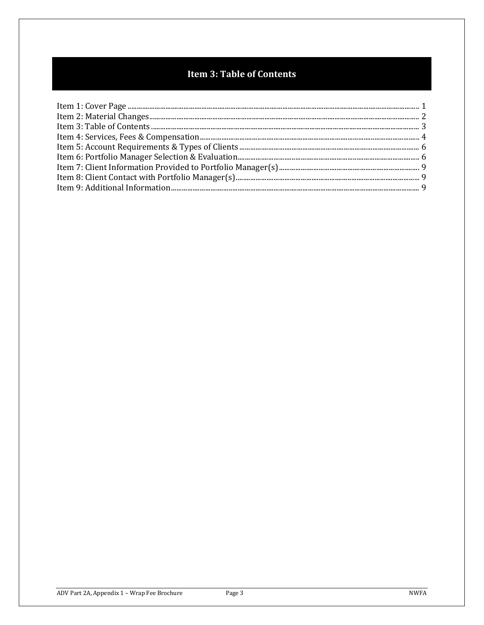# **Item 3: Table of Contents**

<span id="page-2-0"></span>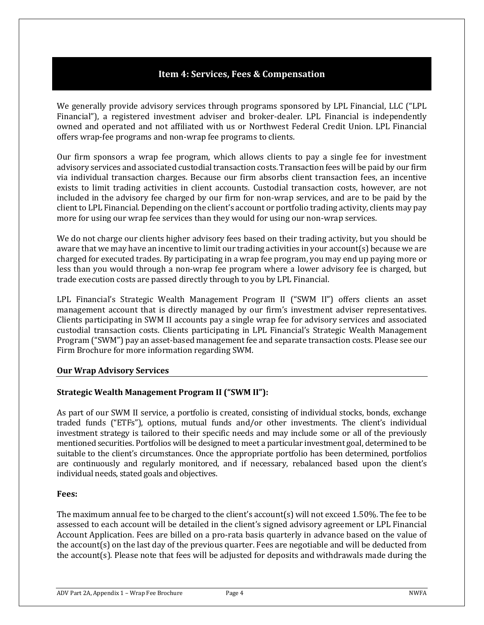# **Item 4: Services, Fees & Compensation**

<span id="page-3-0"></span>We generally provide advisory services through programs sponsored by LPL Financial, LLC ("LPL Financial"), a registered investment adviser and broker-dealer. LPL Financial is independently owned and operated and not affiliated with us or Northwest Federal Credit Union. LPL Financial offers wrap-fee programs and non-wrap fee programs to clients.

Our firm sponsors a wrap fee program, which allows clients to pay a single fee for investment advisory services and associated custodial transaction costs. Transaction fees will be paid by our firm via individual transaction charges. Because our firm absorbs client transaction fees, an incentive exists to limit trading activities in client accounts. Custodial transaction costs, however, are not included in the advisory fee charged by our firm for non-wrap services, and are to be paid by the client to LPL Financial. Depending on the client's account or portfolio trading activity, clients may pay more for using our wrap fee services than they would for using our non-wrap services.

We do not charge our clients higher advisory fees based on their trading activity, but you should be aware that we may have an incentive to limit our trading activities in your account(s) because we are charged for executed trades. By participating in a wrap fee program, you may end up paying more or less than you would through a non-wrap fee program where a lower advisory fee is charged, but trade execution costs are passed directly through to you by LPL Financial.

LPL Financial's Strategic Wealth Management Program II ("SWM II") offers clients an asset management account that is directly managed by our firm's investment adviser representatives. Clients participating in SWM II accounts pay a single wrap fee for advisory services and associated custodial transaction costs. Clients participating in LPL Financial's Strategic Wealth Management Program ("SWM") pay an asset-based management fee and separate transaction costs. Please see our Firm Brochure for more information regarding SWM.

### **Our Wrap Advisory Services**

# **Strategic Wealth Management Program II ("SWM II"):**

As part of our SWM II service, a portfolio is created, consisting of individual stocks, bonds, exchange traded funds ("ETFs"), options, mutual funds and/or other investments. The client's individual investment strategy is tailored to their specific needs and may include some or all of the previously mentioned securities. Portfolios will be designed to meet a particular investment goal, determined to be suitable to the client's circumstances. Once the appropriate portfolio has been determined, portfolios are continuously and regularly monitored, and if necessary, rebalanced based upon the client's individual needs, stated goals and objectives.

# **Fees:**

The maximum annual fee to be charged to the client's account(s) will not exceed 1.50%. The fee to be assessed to each account will be detailed in the client's signed advisory agreement or LPL Financial Account Application. Fees are billed on a pro-rata basis quarterly in advance based on the value of the account(s) on the last day of the previous quarter. Fees are negotiable and will be deducted from the account(s). Please note that fees will be adjusted for deposits and withdrawals made during the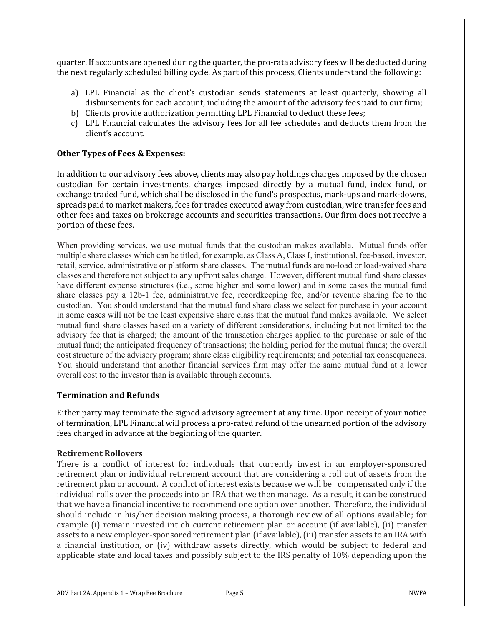quarter. If accounts are opened during the quarter, the pro-rata advisory fees will be deducted during the next regularly scheduled billing cycle. As part of this process, Clients understand the following:

- a) LPL Financial as the client's custodian sends statements at least quarterly, showing all disbursements for each account, including the amount of the advisory fees paid to our firm;
- b) Clients provide authorization permitting LPL Financial to deduct these fees;
- c) LPL Financial calculates the advisory fees for all fee schedules and deducts them from the client's account.

### **Other Types of Fees & Expenses:**

In addition to our advisory fees above, clients may also pay holdings charges imposed by the chosen custodian for certain investments, charges imposed directly by a mutual fund, index fund, or exchange traded fund, which shall be disclosed in the fund's prospectus, mark-ups and mark-downs, spreads paid to market makers, fees for trades executed away from custodian, wire transfer fees and other fees and taxes on brokerage accounts and securities transactions. Our firm does not receive a portion of these fees.

When providing services, we use mutual funds that the custodian makes available. Mutual funds offer multiple share classes which can be titled, for example, as Class A, Class I, institutional, fee-based, investor, retail, service, administrative or platform share classes. The mutual funds are no-load or load-waived share classes and therefore not subject to any upfront sales charge. However, different mutual fund share classes have different expense structures (i.e., some higher and some lower) and in some cases the mutual fund share classes pay a 12b-1 fee, administrative fee, recordkeeping fee, and/or revenue sharing fee to the custodian. You should understand that the mutual fund share class we select for purchase in your account in some cases will not be the least expensive share class that the mutual fund makes available. We select mutual fund share classes based on a variety of different considerations, including but not limited to: the advisory fee that is charged; the amount of the transaction charges applied to the purchase or sale of the mutual fund; the anticipated frequency of transactions; the holding period for the mutual funds; the overall cost structure of the advisory program; share class eligibility requirements; and potential tax consequences. You should understand that another financial services firm may offer the same mutual fund at a lower overall cost to the investor than is available through accounts.

### **Termination and Refunds**

Either party may terminate the signed advisory agreement at any time. Upon receipt of your notice of termination, LPL Financial will process a pro-rated refund of the unearned portion of the advisory fees charged in advance at the beginning of the quarter.

### **Retirement Rollovers**

There is a conflict of interest for individuals that currently invest in an employer-sponsored retirement plan or individual retirement account that are considering a roll out of assets from the retirement plan or account. A conflict of interest exists because we will be compensated only if the individual rolls over the proceeds into an IRA that we then manage. As a result, it can be construed that we have a financial incentive to recommend one option over another. Therefore, the individual should include in his/her decision making process, a thorough review of all options available; for example (i) remain invested int eh current retirement plan or account (if available), (ii) transfer assets to a new employer-sponsored retirement plan (if available), (iii) transfer assets to an IRA with a financial institution, or (iv) withdraw assets directly, which would be subject to federal and applicable state and local taxes and possibly subject to the IRS penalty of 10% depending upon the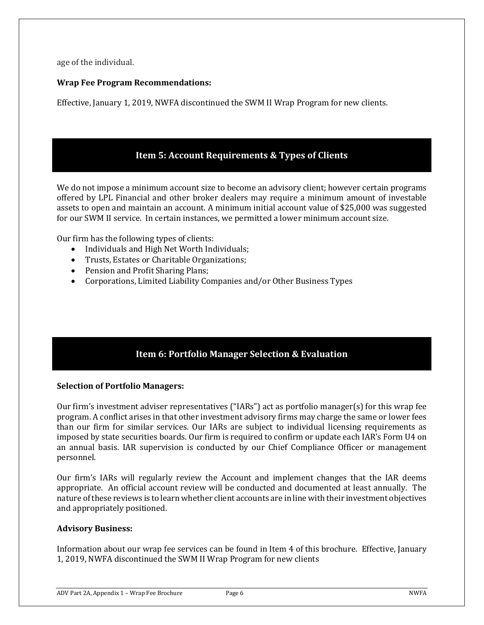age of the individual.

### **Wrap Fee Program Recommendations:**

Effective, January 1, 2019, NWFA discontinued the SWM II Wrap Program for new clients.

# **Item 5: Account Requirements & Types of Clients**

<span id="page-5-0"></span>We do not impose a minimum account size to become an advisory client; however certain programs offered by LPL Financial and other broker dealers may require a minimum amount of investable assets to open and maintain an account. A minimum initial account value of \$25,000 was suggested for our SWM II service. In certain instances, we permitted a lower minimum account size.

Our firm has the following types of clients:

- Individuals and High Net Worth Individuals;
- Trusts, Estates or Charitable Organizations;
- Pension and Profit Sharing Plans;
- Corporations, Limited Liability Companies and/or Other Business Types

# **Item 6: Portfolio Manager Selection & Evaluation**

### <span id="page-5-1"></span>**Selection of Portfolio Managers:**

Our firm's investment adviser representatives ("IARs") act as portfolio manager(s) for this wrap fee program. A conflict arises in that other investment advisory firms may charge the same or lower fees than our firm for similar services. Our IARs are subject to individual licensing requirements as imposed by state securities boards. Our firm is required to confirm or update each IAR's Form U4 on an annual basis. IAR supervision is conducted by our Chief Compliance Officer or management personnel.

Our firm's IARs will regularly review the Account and implement changes that the IAR deems appropriate. An official account review will be conducted and documented at least annually. The nature of these reviews is to learn whether client accounts are in line with their investment objectives and appropriately positioned.

### **Advisory Business:**

Information about our wrap fee services can be found in Item 4 of this brochure. Effective, January 1, 2019, NWFA discontinued the SWM II Wrap Program for new clients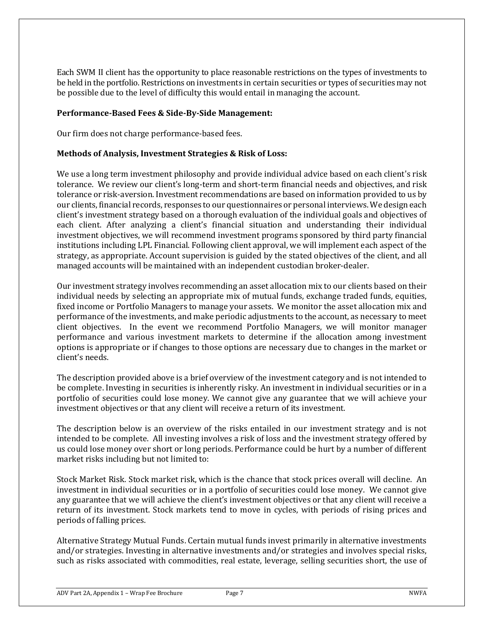Each SWM II client has the opportunity to place reasonable restrictions on the types of investments to be held in the portfolio. Restrictions on investments in certain securities or types of securities may not be possible due to the level of difficulty this would entail in managing the account.

### **Performance-Based Fees & Side-By-Side Management:**

Our firm does not charge performance-based fees.

### **Methods of Analysis, Investment Strategies & Risk of Loss:**

We use a long term investment philosophy and provide individual advice based on each client's risk tolerance. We review our client's long-term and short-term financial needs and objectives, and risk tolerance or risk-aversion. Investment recommendations are based on information provided to us by our clients, financial records, responses to our questionnaires or personal interviews. We design each client's investment strategy based on a thorough evaluation of the individual goals and objectives of each client. After analyzing a client's financial situation and understanding their individual investment objectives, we will recommend investment programs sponsored by third party financial institutions including LPL Financial. Following client approval, we will implement each aspect of the strategy, as appropriate. Account supervision is guided by the stated objectives of the client, and all managed accounts will be maintained with an independent custodian broker-dealer.

Our investment strategy involves recommending an asset allocation mix to our clients based on their individual needs by selecting an appropriate mix of mutual funds, exchange traded funds, equities, fixed income or Portfolio Managers to manage your assets. We monitor the asset allocation mix and performance of the investments, and make periodic adjustments to the account, as necessary to meet client objectives. In the event we recommend Portfolio Managers, we will monitor manager performance and various investment markets to determine if the allocation among investment options is appropriate or if changes to those options are necessary due to changes in the market or client's needs.

The description provided above is a brief overview of the investment category and is not intended to be complete. Investing in securities is inherently risky. An investment in individual securities or in a portfolio of securities could lose money. We cannot give any guarantee that we will achieve your investment objectives or that any client will receive a return of its investment.

The description below is an overview of the risks entailed in our investment strategy and is not intended to be complete. All investing involves a risk of loss and the investment strategy offered by us could lose money over short or long periods. Performance could be hurt by a number of different market risks including but not limited to:

Stock Market Risk. Stock market risk, which is the chance that stock prices overall will decline. An investment in individual securities or in a portfolio of securities could lose money. We cannot give any guarantee that we will achieve the client's investment objectives or that any client will receive a return of its investment. Stock markets tend to move in cycles, with periods of rising prices and periods of falling prices.

Alternative Strategy Mutual Funds. Certain mutual funds invest primarily in alternative investments and/or strategies. Investing in alternative investments and/or strategies and involves special risks, such as risks associated with commodities, real estate, leverage, selling securities short, the use of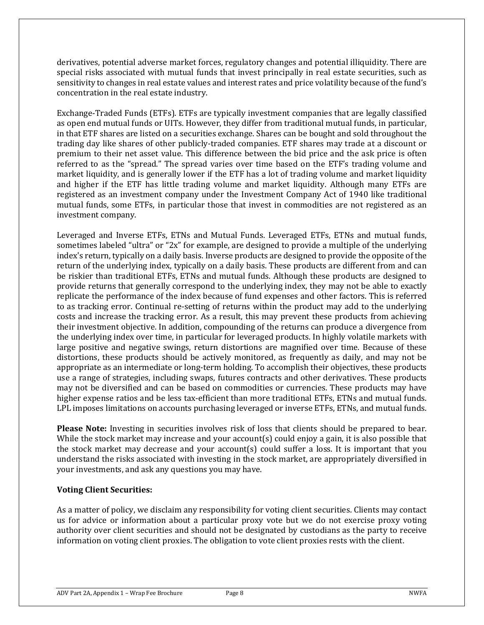derivatives, potential adverse market forces, regulatory changes and potential illiquidity. There are special risks associated with mutual funds that invest principally in real estate securities, such as sensitivity to changes in real estate values and interest rates and price volatility because of the fund's concentration in the real estate industry.

Exchange-Traded Funds (ETFs). ETFs are typically investment companies that are legally classified as open end mutual funds or UITs. However, they differ from traditional mutual funds, in particular, in that ETF shares are listed on a securities exchange. Shares can be bought and sold throughout the trading day like shares of other publicly-traded companies. ETF shares may trade at a discount or premium to their net asset value. This difference between the bid price and the ask price is often referred to as the "spread." The spread varies over time based on the ETF's trading volume and market liquidity, and is generally lower if the ETF has a lot of trading volume and market liquidity and higher if the ETF has little trading volume and market liquidity. Although many ETFs are registered as an investment company under the Investment Company Act of 1940 like traditional mutual funds, some ETFs, in particular those that invest in commodities are not registered as an investment company.

Leveraged and Inverse ETFs, ETNs and Mutual Funds. Leveraged ETFs, ETNs and mutual funds, sometimes labeled "ultra" or "2x" for example, are designed to provide a multiple of the underlying index's return, typically on a daily basis. Inverse products are designed to provide the opposite of the return of the underlying index, typically on a daily basis. These products are different from and can be riskier than traditional ETFs, ETNs and mutual funds. Although these products are designed to provide returns that generally correspond to the underlying index, they may not be able to exactly replicate the performance of the index because of fund expenses and other factors. This is referred to as tracking error. Continual re-setting of returns within the product may add to the underlying costs and increase the tracking error. As a result, this may prevent these products from achieving their investment objective. In addition, compounding of the returns can produce a divergence from the underlying index over time, in particular for leveraged products. In highly volatile markets with large positive and negative swings, return distortions are magnified over time. Because of these distortions, these products should be actively monitored, as frequently as daily, and may not be appropriate as an intermediate or long-term holding. To accomplish their objectives, these products use a range of strategies, including swaps, futures contracts and other derivatives. These products may not be diversified and can be based on commodities or currencies. These products may have higher expense ratios and be less tax-efficient than more traditional ETFs, ETNs and mutual funds. LPL imposes limitations on accounts purchasing leveraged or inverse ETFs, ETNs, and mutual funds.

**Please Note:** Investing in securities involves risk of loss that clients should be prepared to bear. While the stock market may increase and your account(s) could enjoy a gain, it is also possible that the stock market may decrease and your account(s) could suffer a loss. It is important that you understand the risks associated with investing in the stock market, are appropriately diversified in your investments, and ask any questions you may have.

# **Voting Client Securities:**

As a matter of policy, we disclaim any responsibility for voting client securities. Clients may contact us for advice or information about a particular proxy vote but we do not exercise proxy voting authority over client securities and should not be designated by custodians as the party to receive information on voting client proxies. The obligation to vote client proxies rests with the client.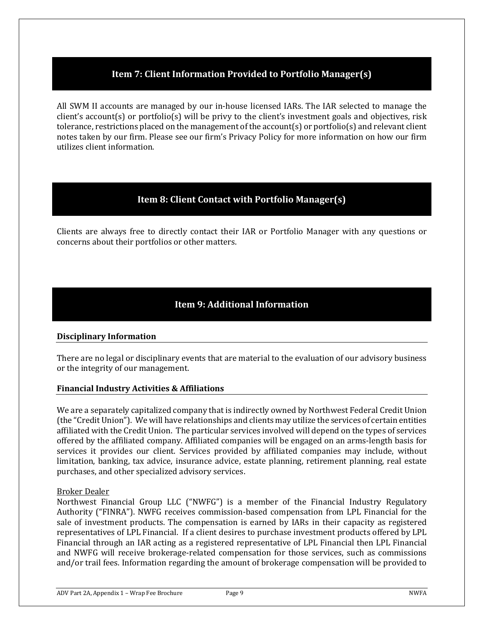# **Item 7: Client Information Provided to Portfolio Manager(s)**

<span id="page-8-0"></span>All SWM II accounts are managed by our in-house licensed IARs. The IAR selected to manage the client's account(s) or portfolio(s) will be privy to the client's investment goals and objectives, risk tolerance, restrictions placed on the management of the account(s) or portfolio(s) and relevant client notes taken by our firm. Please see our firm's Privacy Policy for more information on how our firm utilizes client information.

# **Item 8: Client Contact with Portfolio Manager(s)**

<span id="page-8-1"></span>Clients are always free to directly contact their IAR or Portfolio Manager with any questions or concerns about their portfolios or other matters.

# **Item 9: Additional Information**

# <span id="page-8-2"></span>**Disciplinary Information**

There are no legal or disciplinary events that are material to the evaluation of our advisory business or the integrity of our management.

### **Financial Industry Activities & Affiliations**

We are a separately capitalized company that is indirectly owned by Northwest Federal Credit Union (the "Credit Union"). We will have relationships and clients may utilize the services of certain entities affiliated with the Credit Union. The particular services involved will depend on the types of services offered by the affiliated company. Affiliated companies will be engaged on an arms-length basis for services it provides our client. Services provided by affiliated companies may include, without limitation, banking, tax advice, insurance advice, estate planning, retirement planning, real estate purchases, and other specialized advisory services.

### Broker Dealer

Northwest Financial Group LLC ("NWFG") is a member of the Financial Industry Regulatory Authority ("FINRA"). NWFG receives commission-based compensation from LPL Financial for the sale of investment products. The compensation is earned by IARs in their capacity as registered representatives of LPL Financial. If a client desires to purchase investment products offered by LPL Financial through an IAR acting as a registered representative of LPL Financial then LPL Financial and NWFG will receive brokerage-related compensation for those services, such as commissions and/or trail fees. Information regarding the amount of brokerage compensation will be provided to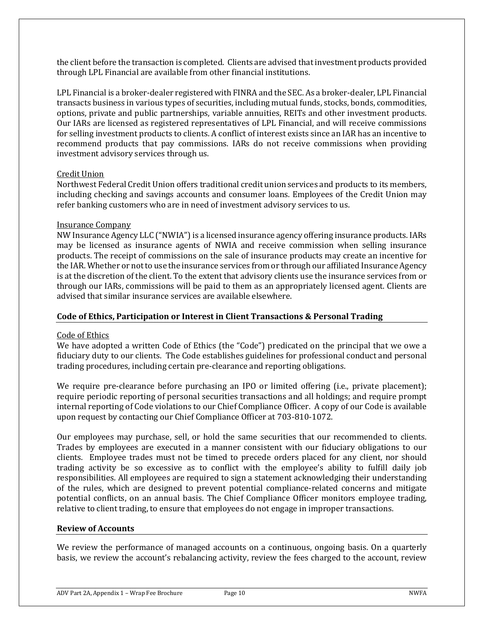the client before the transaction is completed. Clients are advised that investment products provided through LPL Financial are available from other financial institutions.

LPL Financial is a broker-dealer registered with FINRA and the SEC. As a broker-dealer, LPL Financial transacts business in various types of securities, including mutual funds, stocks, bonds, commodities, options, private and public partnerships, variable annuities, REITs and other investment products. Our IARs are licensed as registered representatives of LPL Financial, and will receive commissions for selling investment products to clients. A conflict of interest exists since an IAR has an incentive to recommend products that pay commissions. IARs do not receive commissions when providing investment advisory services through us.

### Credit Union

Northwest Federal Credit Union offers traditional credit union services and products to its members, including checking and savings accounts and consumer loans. Employees of the Credit Union may refer banking customers who are in need of investment advisory services to us.

#### Insurance Company

NW Insurance Agency LLC ("NWIA") is a licensed insurance agency offering insurance products. IARs may be licensed as insurance agents of NWIA and receive commission when selling insurance products. The receipt of commissions on the sale of insurance products may create an incentive for the IAR. Whether or not to use the insurance services from or through our affiliated Insurance Agency is at the discretion of the client. To the extent that advisory clients use the insurance services from or through our IARs, commissions will be paid to them as an appropriately licensed agent. Clients are advised that similar insurance services are available elsewhere.

### **Code of Ethics, Participation or Interest in Client Transactions & Personal Trading**

### Code of Ethics

We have adopted a written Code of Ethics (the "Code") predicated on the principal that we owe a fiduciary duty to our clients. The Code establishes guidelines for professional conduct and personal trading procedures, including certain pre-clearance and reporting obligations.

We require pre-clearance before purchasing an IPO or limited offering (i.e., private placement); require periodic reporting of personal securities transactions and all holdings; and require prompt internal reporting of Code violations to our Chief Compliance Officer. A copy of our Code is available upon request by contacting our Chief Compliance Officer at 703-810-1072.

Our employees may purchase, sell, or hold the same securities that our recommended to clients. Trades by employees are executed in a manner consistent with our fiduciary obligations to our clients. Employee trades must not be timed to precede orders placed for any client, nor should trading activity be so excessive as to conflict with the employee's ability to fulfill daily job responsibilities. All employees are required to sign a statement acknowledging their understanding of the rules, which are designed to prevent potential compliance-related concerns and mitigate potential conflicts, on an annual basis. The Chief Compliance Officer monitors employee trading, relative to client trading, to ensure that employees do not engage in improper transactions.

#### **Review of Accounts**

We review the performance of managed accounts on a continuous, ongoing basis. On a quarterly basis, we review the account's rebalancing activity, review the fees charged to the account, review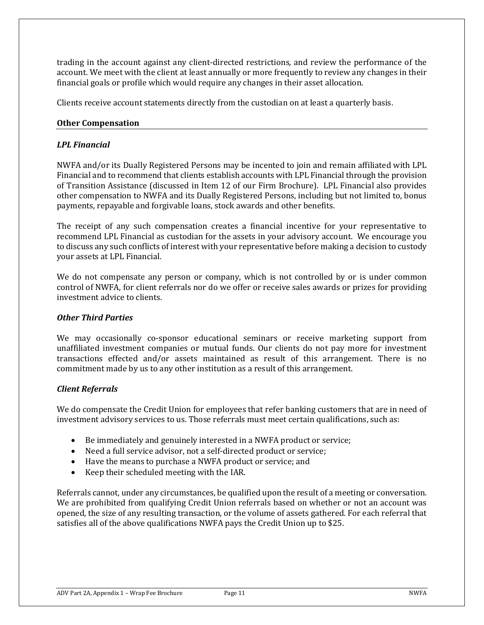trading in the account against any client-directed restrictions, and review the performance of the account. We meet with the client at least annually or more frequently to review any changes in their financial goals or profile which would require any changes in their asset allocation.

Clients receive account statements directly from the custodian on at least a quarterly basis.

### **Other Compensation**

### *LPL Financial*

NWFA and/or its Dually Registered Persons may be incented to join and remain affiliated with LPL Financial and to recommend that clients establish accounts with LPL Financial through the provision of Transition Assistance (discussed in Item 12 of our Firm Brochure). LPL Financial also provides other compensation to NWFA and its Dually Registered Persons, including but not limited to, bonus payments, repayable and forgivable loans, stock awards and other benefits.

The receipt of any such compensation creates a financial incentive for your representative to recommend LPL Financial as custodian for the assets in your advisory account. We encourage you to discuss any such conflicts of interest with your representative before making a decision to custody your assets at LPL Financial.

We do not compensate any person or company, which is not controlled by or is under common control of NWFA, for client referrals nor do we offer or receive sales awards or prizes for providing investment advice to clients.

### *Other Third Parties*

We may occasionally co-sponsor educational seminars or receive marketing support from unaffiliated investment companies or mutual funds. Our clients do not pay more for investment transactions effected and/or assets maintained as result of this arrangement. There is no commitment made by us to any other institution as a result of this arrangement.

# *Client Referrals*

We do compensate the Credit Union for employees that refer banking customers that are in need of investment advisory services to us. Those referrals must meet certain qualifications, such as:

- Be immediately and genuinely interested in a NWFA product or service;
- Need a full service advisor, not a self-directed product or service;
- Have the means to purchase a NWFA product or service; and
- Keep their scheduled meeting with the IAR.

Referrals cannot, under any circumstances, be qualified upon the result of a meeting or conversation. We are prohibited from qualifying Credit Union referrals based on whether or not an account was opened, the size of any resulting transaction, or the volume of assets gathered. For each referral that satisfies all of the above qualifications NWFA pays the Credit Union up to \$25.